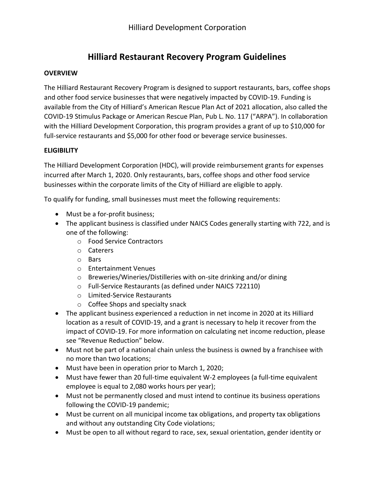# **Hilliard Restaurant Recovery Program Guidelines**

#### **OVERVIEW**

The Hilliard Restaurant Recovery Program is designed to support restaurants, bars, coffee shops and other food service businesses that were negatively impacted by COVID-19. Funding is available from the City of Hilliard's American Rescue Plan Act of 2021 allocation, also called the COVID-19 Stimulus Package or American Rescue Plan, Pub L. No. 117 ("ARPA"). In collaboration with the Hilliard Development Corporation, this program provides a grant of up to \$10,000 for full-service restaurants and \$5,000 for other food or beverage service businesses.

#### **ELIGIBILITY**

The Hilliard Development Corporation (HDC), will provide reimbursement grants for expenses incurred after March 1, 2020. Only restaurants, bars, coffee shops and other food service businesses within the corporate limits of the City of Hilliard are eligible to apply.

To qualify for funding, small businesses must meet the following requirements:

- Must be a for-profit business;
- The applicant business is classified under NAICS Codes generally starting with 722, and is one of the following:
	- o Food Service Contractors
	- o Caterers
	- o Bars
	- o Entertainment Venues
	- o Breweries/Wineries/Distilleries with on-site drinking and/or dining
	- o Full-Service Restaurants (as defined under NAICS 722110)
	- o Limited-Service Restaurants
	- o Coffee Shops and specialty snack
- The applicant business experienced a reduction in net income in 2020 at its Hilliard location as a result of COVID-19, and a grant is necessary to help it recover from the impact of COVID-19. For more information on calculating net income reduction, please see "Revenue Reduction" below.
- Must not be part of a national chain unless the business is owned by a franchisee with no more than two locations;
- Must have been in operation prior to March 1, 2020;
- Must have fewer than 20 full-time equivalent W-2 employees (a full-time equivalent employee is equal to 2,080 works hours per year);
- Must not be permanently closed and must intend to continue its business operations following the COVID-19 pandemic;
- Must be current on all municipal income tax obligations, and property tax obligations and without any outstanding City Code violations;
- Must be open to all without regard to race, sex, sexual orientation, gender identity or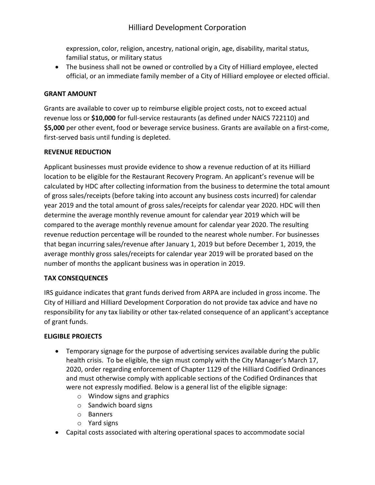## Hilliard Development Corporation

expression, color, religion, ancestry, national origin, age, disability, marital status, familial status, or military status

• The business shall not be owned or controlled by a City of Hilliard employee, elected official, or an immediate family member of a City of Hilliard employee or elected official.

#### **GRANT AMOUNT**

Grants are available to cover up to reimburse eligible project costs, not to exceed actual revenue loss or **\$10,000** for full-service restaurants (as defined under NAICS 722110) and **\$5,000** per other event, food or beverage service business. Grants are available on a first-come, first-served basis until funding is depleted.

#### **REVENUE REDUCTION**

Applicant businesses must provide evidence to show a revenue reduction of at its Hilliard location to be eligible for the Restaurant Recovery Program. An applicant's revenue will be calculated by HDC after collecting information from the business to determine the total amount of gross sales/receipts (before taking into account any business costs incurred) for calendar year 2019 and the total amount of gross sales/receipts for calendar year 2020. HDC will then determine the average monthly revenue amount for calendar year 2019 which will be compared to the average monthly revenue amount for calendar year 2020. The resulting revenue reduction percentage will be rounded to the nearest whole number. For businesses that began incurring sales/revenue after January 1, 2019 but before December 1, 2019, the average monthly gross sales/receipts for calendar year 2019 will be prorated based on the number of months the applicant business was in operation in 2019.

#### **TAX CONSEQUENCES**

IRS guidance indicates that grant funds derived from ARPA are included in gross income. The City of Hilliard and Hilliard Development Corporation do not provide tax advice and have no responsibility for any tax liability or other tax-related consequence of an applicant's acceptance of grant funds.

#### **ELIGIBLE PROJECTS**

- Temporary signage for the purpose of advertising services available during the public health crisis. To be eligible, the sign must comply with the City Manager's March 17, 2020, order regarding enforcement of Chapter 1129 of the Hilliard Codified Ordinances and must otherwise comply with applicable sections of the Codified Ordinances that were not expressly modified. Below is a general list of the eligible signage:
	- o Window signs and graphics
	- $\circ$  Sandwich board signs
	- o Banners
	- o Yard signs
- Capital costs associated with altering operational spaces to accommodate social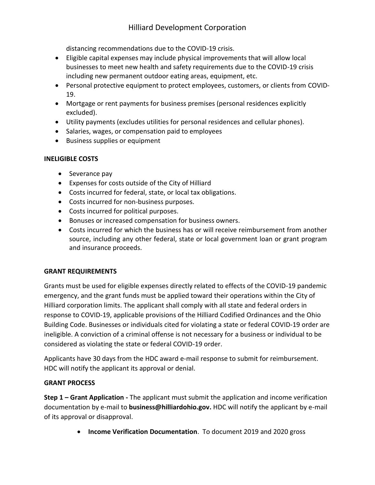distancing recommendations due to the COVID-19 crisis.

- Eligible capital expenses may include physical improvements that will allow local businesses to meet new health and safety requirements due to the COVID-19 crisis including new permanent outdoor eating areas, equipment, etc.
- Personal protective equipment to protect employees, customers, or clients from COVID-19.
- Mortgage or rent payments for business premises (personal residences explicitly excluded).
- Utility payments (excludes utilities for personal residences and cellular phones).
- Salaries, wages, or compensation paid to employees
- Business supplies or equipment

## **INELIGIBLE COSTS**

- Severance pay
- Expenses for costs outside of the City of Hilliard
- Costs incurred for federal, state, or local tax obligations.
- Costs incurred for non-business purposes.
- Costs incurred for political purposes.
- Bonuses or increased compensation for business owners.
- Costs incurred for which the business has or will receive reimbursement from another source, including any other federal, state or local government loan or grant program and insurance proceeds.

## **GRANT REQUIREMENTS**

Grants must be used for eligible expenses directly related to effects of the COVID-19 pandemic emergency, and the grant funds must be applied toward their operations within the City of Hilliard corporation limits. The applicant shall comply with all state and federal orders in response to COVID-19, applicable provisions of the Hilliard Codified Ordinances and the Ohio Building Code. Businesses or individuals cited for violating a state or federal COVID-19 order are ineligible. A conviction of a criminal offense is not necessary for a business or individual to be considered as violating the state or federal COVID-19 order.

Applicants have 30 days from the HDC award e-mail response to submit for reimbursement. HDC will notify the applicant its approval or denial.

## **GRANT PROCESS**

**Step 1 – Grant Application -** The applicant must submit the application and income verification documentation by e-mail to **business@hilliardohio.gov.** HDC will notify the applicant by e-mail of its approval or disapproval.

• **Income Verification Documentation**. To document 2019 and 2020 gross